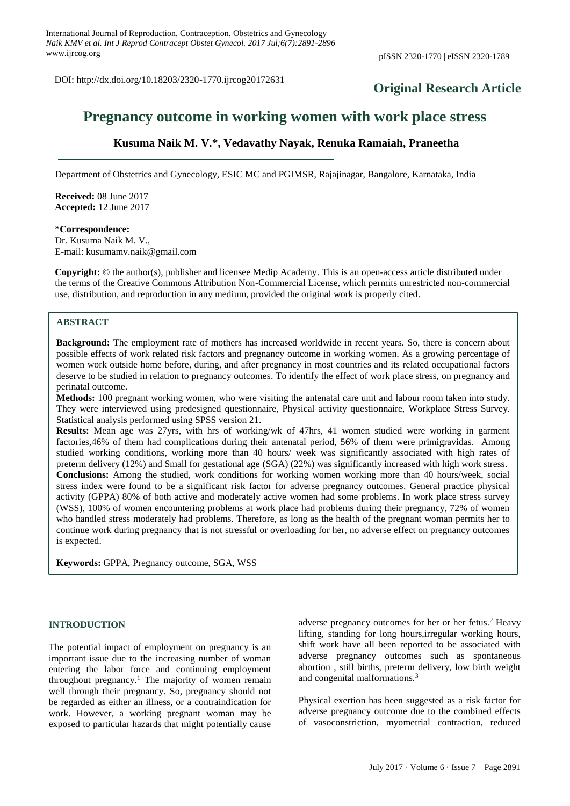DOI: http://dx.doi.org/10.18203/2320-1770.ijrcog20172631

# **Original Research Article**

# **Pregnancy outcome in working women with work place stress**

# **Kusuma Naik M. V.\*, Vedavathy Nayak, Renuka Ramaiah, Praneetha**

Department of Obstetrics and Gynecology, ESIC MC and PGIMSR, Rajajinagar, Bangalore, Karnataka, India

**Received:** 08 June 2017 **Accepted:** 12 June 2017

#### **\*Correspondence:**

Dr. Kusuma Naik M. V., E-mail: kusumamv.naik@gmail.com

**Copyright:** © the author(s), publisher and licensee Medip Academy. This is an open-access article distributed under the terms of the Creative Commons Attribution Non-Commercial License, which permits unrestricted non-commercial use, distribution, and reproduction in any medium, provided the original work is properly cited.

# **ABSTRACT**

**Background:** The employment rate of mothers has increased worldwide in recent years. So, there is concern about possible effects of work related risk factors and pregnancy outcome in working women. As a growing percentage of women work outside home before, during, and after pregnancy in most countries and its related occupational factors deserve to be studied in relation to pregnancy outcomes. To identify the effect of work place stress, on pregnancy and perinatal outcome.

**Methods:** 100 pregnant working women, who were visiting the antenatal care unit and labour room taken into study. They were interviewed using predesigned questionnaire, Physical activity questionnaire, Workplace Stress Survey. Statistical analysis performed using SPSS version 21.

**Results:** Mean age was 27yrs, with hrs of working/wk of 47hrs, 41 women studied were working in garment factories,46% of them had complications during their antenatal period, 56% of them were primigravidas. Among studied working conditions, working more than 40 hours/ week was significantly associated with high rates of preterm delivery (12%) and Small for gestational age (SGA) (22%) was significantly increased with high work stress. **Conclusions:** Among the studied, work conditions for working women working more than 40 hours/week, social stress index were found to be a significant risk factor for adverse pregnancy outcomes. General practice physical activity (GPPA) 80% of both active and moderately active women had some problems. In work place stress survey (WSS), 100% of women encountering problems at work place had problems during their pregnancy, 72% of women who handled stress moderately had problems. Therefore, as long as the health of the pregnant woman permits her to continue work during pregnancy that is not stressful or overloading for her, no adverse effect on pregnancy outcomes is expected.

**Keywords:** GPPA, Pregnancy outcome, SGA, WSS

#### **INTRODUCTION**

The potential impact of employment on pregnancy is an important issue due to the increasing number of woman entering the labor force and continuing employment throughout pregnancy.<sup>1</sup> The majority of women remain well through their pregnancy. So, pregnancy should not be regarded as either an illness, or a contraindication for work. However, a working pregnant woman may be exposed to particular hazards that might potentially cause adverse pregnancy outcomes for her or her fetus.<sup>2</sup> Heavy lifting, standing for long hours,irregular working hours, shift work have all been reported to be associated with adverse pregnancy outcomes such as spontaneous abortion , still births, preterm delivery, low birth weight and congenital malformations.<sup>3</sup>

Physical exertion has been suggested as a risk factor for adverse pregnancy outcome due to the combined effects of vasoconstriction, myometrial contraction, reduced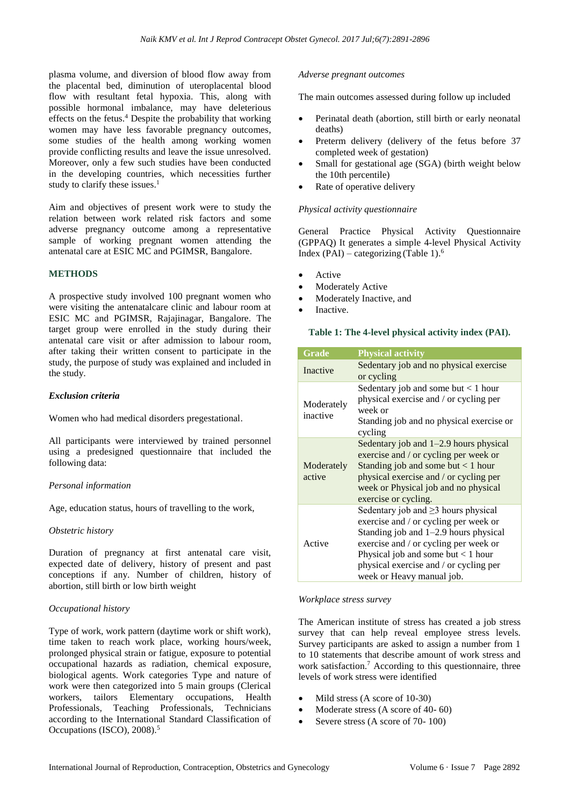plasma volume, and diversion of blood flow away from the placental bed, diminution of uteroplacental blood flow with resultant fetal hypoxia. This, along with possible hormonal imbalance, may have deleterious effects on the fetus.<sup>4</sup> Despite the probability that working women may have less favorable pregnancy outcomes, some studies of the health among working women provide conflicting results and leave the issue unresolved. Moreover, only a few such studies have been conducted in the developing countries, which necessities further study to clarify these issues.<sup>1</sup>

Aim and objectives of present work were to study the relation between work related risk factors and some adverse pregnancy outcome among a representative sample of working pregnant women attending the antenatal care at ESIC MC and PGIMSR, Bangalore.

# **METHODS**

A prospective study involved 100 pregnant women who were visiting the antenatalcare clinic and labour room at ESIC MC and PGIMSR, Rajajinagar, Bangalore. The target group were enrolled in the study during their antenatal care visit or after admission to labour room, after taking their written consent to participate in the study, the purpose of study was explained and included in the study.

# *Exclusion criteria*

Women who had medical disorders pregestational.

All participants were interviewed by trained personnel using a predesigned questionnaire that included the following data:

#### *Personal information*

Age, education status, hours of travelling to the work,

#### *Obstetric history*

Duration of pregnancy at first antenatal care visit, expected date of delivery, history of present and past conceptions if any. Number of children, history of abortion, still birth or low birth weight

#### *Occupational history*

Type of work, work pattern (daytime work or shift work), time taken to reach work place, working hours/week, prolonged physical strain or fatigue, exposure to potential occupational hazards as radiation, chemical exposure, biological agents. Work categories Type and nature of work were then categorized into 5 main groups (Clerical workers, tailors Elementary occupations, Health Professionals, Teaching Professionals, Technicians according to the International Standard Classification of Occupations (ISCO), 2008).<sup>5</sup>

#### *Adverse pregnant outcomes*

The main outcomes assessed during follow up included

- Perinatal death (abortion, still birth or early neonatal deaths)
- Preterm delivery (delivery of the fetus before 37 completed week of gestation)
- Small for gestational age (SGA) (birth weight below the 10th percentile)
- Rate of operative delivery

#### *Physical activity questionnaire*

General Practice Physical Activity Questionnaire (GPPAQ) It generates a simple 4-level Physical Activity Index (PAI) – categorizing (Table 1). $<sup>6</sup>$ </sup>

- Active
- **Moderately Active**
- Moderately Inactive, and
- Inactive.

#### **Table 1: The 4-level physical activity index (PAI).**

| Grade                  | <b>Physical activity</b>                                                                                                                                                                                                                                                            |
|------------------------|-------------------------------------------------------------------------------------------------------------------------------------------------------------------------------------------------------------------------------------------------------------------------------------|
| Inactive               | Sedentary job and no physical exercise<br>or cycling                                                                                                                                                                                                                                |
| Moderately<br>inactive | Sedentary job and some but $< 1$ hour<br>physical exercise and / or cycling per<br>week or<br>Standing job and no physical exercise or<br>cycling                                                                                                                                   |
| Moderately<br>active   | Sedentary job and $1-2.9$ hours physical<br>exercise and / or cycling per week or<br>Standing job and some but $< 1$ hour<br>physical exercise and / or cycling per<br>week or Physical job and no physical<br>exercise or cycling.                                                 |
| Active                 | Sedentary job and $\geq$ 3 hours physical<br>exercise and / or cycling per week or<br>Standing job and 1–2.9 hours physical<br>exercise and / or cycling per week or<br>Physical job and some but $< 1$ hour<br>physical exercise and / or cycling per<br>week or Heavy manual job. |

#### *Workplace stress survey*

The American institute of stress has created a job stress survey that can help reveal employee stress levels. Survey participants are asked to assign a number from 1 to 10 statements that describe amount of work stress and work satisfaction.<sup>7</sup> According to this questionnaire, three levels of work stress were identified

- Mild stress (A score of 10-30)
- Moderate stress (A score of 40- 60)
- Severe stress (A score of 70-100)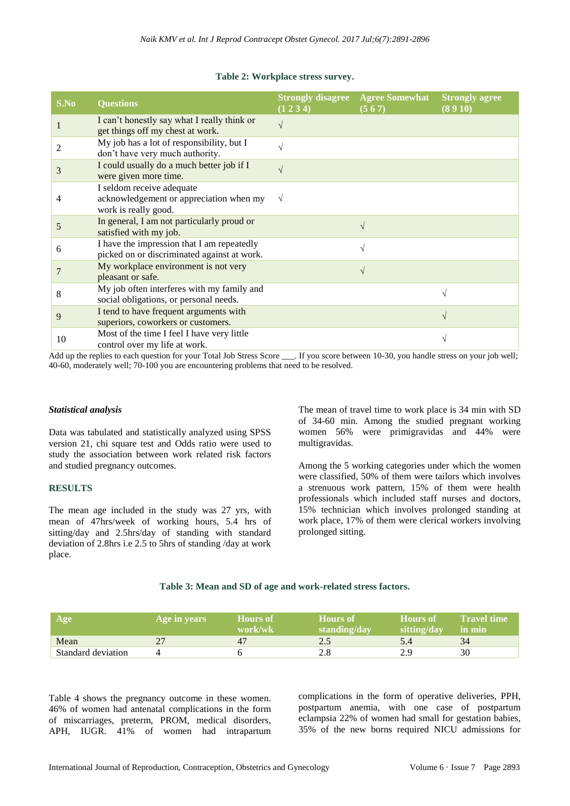#### **Table 2: Workplace stress survey.**

| S.No | <b>Questions</b>                                                                             | (1 2 3 4)     | <b>Strongly disagree</b> Agree Somewhat<br>(567) | <b>Strongly agree</b><br>(8910) |
|------|----------------------------------------------------------------------------------------------|---------------|--------------------------------------------------|---------------------------------|
|      | I can't honestly say what I really think or<br>get things off my chest at work.              | $\sqrt{ }$    |                                                  |                                 |
|      | My job has a lot of responsibility, but I<br>don't have very much authority.                 | $\sqrt{ }$    |                                                  |                                 |
| 3    | I could usually do a much better job if I<br>were given more time.                           | $\mathcal{L}$ |                                                  |                                 |
| 4    | I seldom receive adequate<br>acknowledgement or appreciation when my<br>work is really good. |               |                                                  |                                 |
| 5    | In general, I am not particularly proud or<br>satisfied with my job.                         |               |                                                  |                                 |
| 6    | I have the impression that I am repeatedly<br>picked on or discriminated against at work.    |               |                                                  |                                 |
|      | My workplace environment is not very<br>pleasant or safe.                                    |               | $\sqrt{ }$                                       |                                 |
| 8    | My job often interferes with my family and<br>social obligations, or personal needs.         |               |                                                  |                                 |
| 9    | I tend to have frequent arguments with<br>superiors, coworkers or customers.                 |               |                                                  |                                 |
| 10   | Most of the time I feel I have very little<br>control over my life at work.                  |               |                                                  |                                 |

Add up the replies to each question for your Total Job Stress Score \_\_\_. If you score between 10-30, you handle stress on your job well; 40-60, moderately well; 70-100 you are encountering problems that need to be resolved.

#### *Statistical analysis*

Data was tabulated and statistically analyzed using SPSS version 21, chi square test and Odds ratio were used to study the association between work related risk factors and studied pregnancy outcomes.

# **RESULTS**

The mean age included in the study was 27 yrs, with mean of 47hrs/week of working hours, 5.4 hrs of sitting/day and 2.5hrs/day of standing with standard deviation of 2.8hrs i.e 2.5 to 5hrs of standing /day at work place.

The mean of travel time to work place is 34 min with SD of 34-60 min. Among the studied pregnant working women 56% were primigravidas and 44% were multigravidas.

Among the 5 working categories under which the women were classified, 50% of them were tailors which involves a strenuous work pattern, 15% of them were health professionals which included staff nurses and doctors, 15% technician which involves prolonged standing at work place, 17% of them were clerical workers involving prolonged sitting.

#### **Table 3: Mean and SD of age and work-related stress factors.**

| Age                | Age in years | <b>Hours</b> of<br>work/wk | <b>Hours</b> of<br>standing/day | <b>Hours</b> of<br>sitting/day | <b>Travel time</b><br>in min |
|--------------------|--------------|----------------------------|---------------------------------|--------------------------------|------------------------------|
| Mean               |              | 4 <sub>1</sub>             |                                 |                                |                              |
| Standard deviation |              |                            |                                 |                                | 30                           |

Table 4 shows the pregnancy outcome in these women. 46% of women had antenatal complications in the form of miscarriages, preterm, PROM, medical disorders, APH, IUGR. 41% of women had intrapartum

complications in the form of operative deliveries, PPH, postpartum anemia, with one case of postpartum eclampsia 22% of women had small for gestation babies, 35% of the new borns required NICU admissions for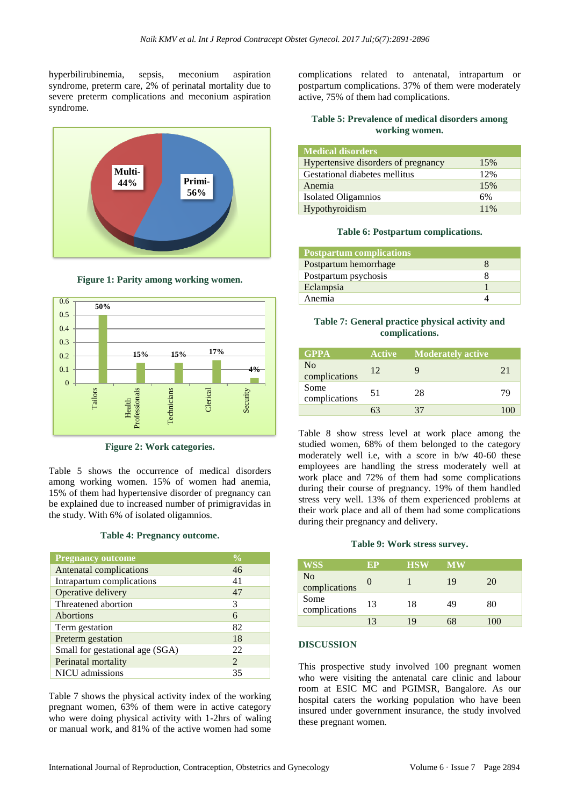hyperbilirubinemia, sepsis, meconium aspiration syndrome, preterm care, 2% of perinatal mortality due to severe preterm complications and meconium aspiration syndrome.



**Figure 1: Parity among working women.**



**Figure 2: Work categories.**

Table 5 shows the occurrence of medical disorders among working women. 15% of women had anemia, 15% of them had hypertensive disorder of pregnancy can be explained due to increased number of primigravidas in the study. With 6% of isolated oligamnios.

#### **Table 4: Pregnancy outcome.**

| <b>Pregnancy outcome</b>        | $\frac{0}{0}$ |
|---------------------------------|---------------|
| Antenatal complications         | 46            |
| Intrapartum complications       | 41            |
| Operative delivery              | 47            |
| Threatened abortion             | 3             |
| Abortions                       | 6             |
| Term gestation                  | 82            |
| Preterm gestation               | 18            |
| Small for gestational age (SGA) | 22            |
| Perinatal mortality             | 2             |
| NICU admissions                 | 35            |

Table 7 shows the physical activity index of the working pregnant women, 63% of them were in active category who were doing physical activity with 1-2hrs of waling or manual work, and 81% of the active women had some

complications related to antenatal, intrapartum or postpartum complications. 37% of them were moderately active, 75% of them had complications.

# **Table 5: Prevalence of medical disorders among working women.**

| <b>Medical disorders</b>            |     |
|-------------------------------------|-----|
| Hypertensive disorders of pregnancy | 15% |
| Gestational diabetes mellitus       | 12% |
| Anemia                              | 15% |
| <b>Isolated Oligamnios</b>          | 6%  |
| Hypothyroidism                      | 11% |

#### **Table 6: Postpartum complications.**

| <b>Postpartum complications</b> |  |
|---------------------------------|--|
| Postpartum hemorrhage           |  |
| Postpartum psychosis            |  |
| Eclampsia                       |  |
| Anemia                          |  |

# **Table 7: General practice physical activity and complications.**

| <b>GPPA</b>                     | <b>Active</b> | <b>Moderately active</b> |    |
|---------------------------------|---------------|--------------------------|----|
| N <sub>o</sub><br>complications | 12            |                          | 21 |
| Some<br>complications           | 51            | 28                       | 79 |
|                                 |               | 37                       |    |

Table 8 show stress level at work place among the studied women, 68% of them belonged to the category moderately well i.e, with a score in b/w 40-60 these employees are handling the stress moderately well at work place and 72% of them had some complications during their course of pregnancy. 19% of them handled stress very well. 13% of them experienced problems at their work place and all of them had some complications during their pregnancy and delivery.

#### **Table 9: Work stress survey.**

| <b>WSS</b>                      | ЕP | <b>HSW</b> | <b>MW</b> |     |
|---------------------------------|----|------------|-----------|-----|
| N <sub>0</sub><br>complications | U  |            | 19        | 20  |
| Some<br>complications           | 13 | 18         | 49        | 80  |
|                                 | 13 | 19         |           | 100 |

# **DISCUSSION**

This prospective study involved 100 pregnant women who were visiting the antenatal care clinic and labour room at ESIC MC and PGIMSR, Bangalore. As our hospital caters the working population who have been insured under government insurance, the study involved these pregnant women.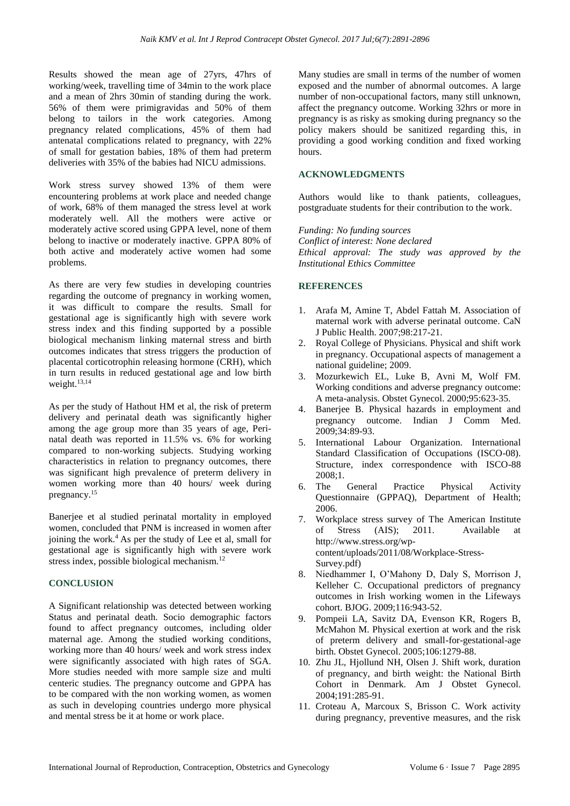Results showed the mean age of 27yrs, 47hrs of working/week, travelling time of 34min to the work place and a mean of 2hrs 30min of standing during the work. 56% of them were primigravidas and 50% of them belong to tailors in the work categories. Among pregnancy related complications, 45% of them had antenatal complications related to pregnancy, with 22% of small for gestation babies, 18% of them had preterm deliveries with 35% of the babies had NICU admissions.

Work stress survey showed 13% of them were encountering problems at work place and needed change of work, 68% of them managed the stress level at work moderately well. All the mothers were active or moderately active scored using GPPA level, none of them belong to inactive or moderately inactive. GPPA 80% of both active and moderately active women had some problems.

As there are very few studies in developing countries regarding the outcome of pregnancy in working women, it was difficult to compare the results. Small for gestational age is significantly high with severe work stress index and this finding supported by a possible biological mechanism linking maternal stress and birth outcomes indicates that stress triggers the production of placental corticotrophin releasing hormone (CRH), which in turn results in reduced gestational age and low birth weight.<sup>13,14</sup>

As per the study of Hathout HM et al, the risk of preterm delivery and perinatal death was significantly higher among the age group more than 35 years of age, Perinatal death was reported in 11.5% vs. 6% for working compared to non-working subjects. Studying working characteristics in relation to pregnancy outcomes, there was significant high prevalence of preterm delivery in women working more than 40 hours/ week during pregnancy.<sup>15</sup>

Banerjee et al studied perinatal mortality in employed women, concluded that PNM is increased in women after joining the work.<sup>4</sup> As per the study of Lee et al, small for gestational age is significantly high with severe work stress index, possible biological mechanism.<sup>12</sup>

# **CONCLUSION**

A Significant relationship was detected between working Status and perinatal death. Socio demographic factors found to affect pregnancy outcomes, including older maternal age. Among the studied working conditions, working more than 40 hours/ week and work stress index were significantly associated with high rates of SGA. More studies needed with more sample size and multi centeric studies. The pregnancy outcome and GPPA has to be compared with the non working women, as women as such in developing countries undergo more physical and mental stress be it at home or work place.

Many studies are small in terms of the number of women exposed and the number of abnormal outcomes. A large number of non-occupational factors, many still unknown, affect the pregnancy outcome. Working 32hrs or more in pregnancy is as risky as smoking during pregnancy so the policy makers should be sanitized regarding this, in providing a good working condition and fixed working hours.

# **ACKNOWLEDGMENTS**

Authors would like to thank patients, colleagues, postgraduate students for their contribution to the work.

*Funding: No funding sources Conflict of interest: None declared Ethical approval: The study was approved by the Institutional Ethics Committee*

# **REFERENCES**

- 1. Arafa M, Amine T, Abdel Fattah M. Association of maternal work with adverse perinatal outcome. CaN J Public Health. 2007;98:217-21.
- 2. Royal College of Physicians. Physical and shift work in pregnancy. Occupational aspects of management a national guideline; 2009.
- 3. Mozurkewich EL, Luke B, Avni M, Wolf FM. Working conditions and adverse pregnancy outcome: A meta-analysis. Obstet Gynecol. 2000;95:623-35.
- 4. Banerjee B. Physical hazards in employment and pregnancy outcome. Indian J Comm Med. 2009;34:89-93.
- 5. International Labour Organization. International Standard Classification of Occupations (ISCO-08). Structure, index correspondence with ISCO-88 2008;1.
- 6. The General Practice Physical Activity Questionnaire (GPPAQ), Department of Health; 2006.
- 7. Workplace stress survey of The American Institute of Stress (AIS); 2011. Available at http://www.stress.org/wpcontent/uploads/2011/08/Workplace-Stress-Survey.pdf)
- 8. Niedhammer I, O'Mahony D, Daly S, Morrison J, Kelleher C. Occupational predictors of pregnancy outcomes in Irish working women in the Lifeways cohort. BJOG. 2009;116:943-52.
- 9. Pompeii LA, Savitz DA, Evenson KR, Rogers B, McMahon M. Physical exertion at work and the risk of preterm delivery and small-for-gestational-age birth. Obstet Gynecol. 2005;106:1279-88.
- 10. Zhu JL, Hjollund NH, Olsen J. Shift work, duration of pregnancy, and birth weight: the National Birth Cohort in Denmark. Am J Obstet Gynecol. 2004;191:285-91.
- 11. Croteau A, Marcoux S, Brisson C. Work activity during pregnancy, preventive measures, and the risk